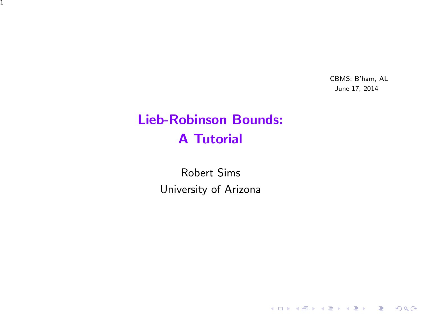CBMS: B'ham, AL June 17, 2014

K ロ ▶ K @ ▶ K 할 ▶ K 할 ▶ | 할 | ⊙Q @

# Lieb-Robinson Bounds: A Tutorial

1

<span id="page-0-0"></span>Robert Sims University of Arizona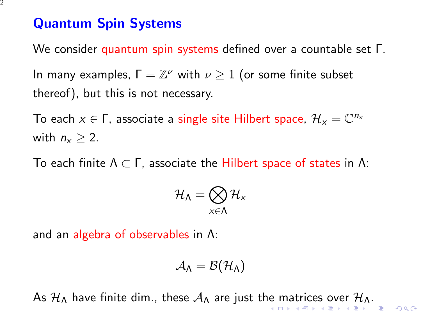## Quantum Spin Systems

We consider quantum spin systems defined over a countable set Γ.

In many examples,  $\Gamma = \mathbb{Z}^{\nu}$  with  $\nu \geq 1$  (or some finite subset thereof), but this is not necessary.

To each  $x \in \Gamma$ , associate a single site Hilbert space,  $\mathcal{H}_x = \mathbb{C}^{n_x}$ with  $n_x > 2$ .

To each finite  $Λ ⊂ Γ$ , associate the Hilbert space of states in Λ:

$$
\mathcal{H}_{\mathsf{\Lambda}}=\bigotimes_{\mathsf{x}\in \mathsf{\Lambda}}\mathcal{H}_\mathsf{x}
$$

and an algebra of observables in Λ:

$$
\mathcal{A}_{\Lambda}=\mathcal{B}(\mathcal{H}_{\Lambda})
$$

<span id="page-1-0"></span>As  $H_\Lambda$  $H_\Lambda$  have finite dim., t[he](#page-0-0)s[e](#page-2-0)  $A_\Lambda$  are just the [ma](#page-2-0)[t](#page-0-0)[ric](#page-1-0)e[s o](#page-0-0)[ve](#page-23-0)[r](#page-0-0)  $H_\Lambda$ .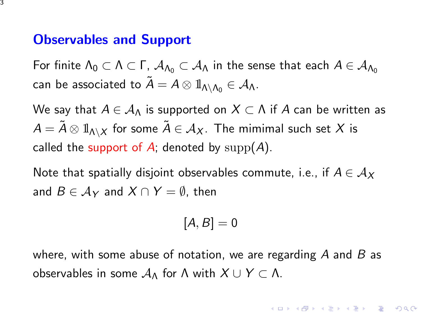### Observables and Support

For finite  $\Lambda_0 \subset \Lambda \subset \Gamma$ ,  $\mathcal{A}_{\Lambda_0} \subset \mathcal{A}_{\Lambda}$  in the sense that each  $A \in \mathcal{A}_{\Lambda_0}$ can be associated to  $\tilde{A} = A \otimes \mathbb{1}_{\Lambda \setminus \Lambda_0} \in \mathcal{A}_{\Lambda}$ .

We say that  $A \in \mathcal{A}_\Lambda$  is supported on  $X \subset \Lambda$  if A can be written as  $A = \tilde{A} \otimes \mathbb{1}_{\Lambda \setminus X}$  for some  $\tilde{A} \in \mathcal{A}_X$ . The mimimal such set X is called the support of A; denoted by  $supp(A)$ .

Note that spatially disjoint observables commute, i.e., if  $A \in \mathcal{A}_X$ and  $B \in A_Y$  and  $X \cap Y = \emptyset$ , then

$$
[A,B]=0
$$

<span id="page-2-0"></span>where, with some abuse of notation, we are regarding  $A$  and  $B$  as observables in some  $A_\Lambda$  for Λ with  $X \cup Y \subset \Lambda$ .

4 D > 4 P + 4 B + 4 B + B + 9 Q O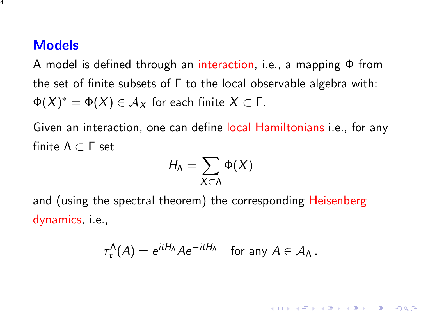## **Models**

A model is defined through an interaction, i.e., a mapping Φ from the set of finite subsets of Γ to the local observable algebra with:  $\Phi(X)^* = \Phi(X) \in \mathcal{A}_X$  for each finite  $X \subset \mathsf{\Gamma}.$ 

Given an interaction, one can define local Hamiltonians i.e., for any finite Λ ⊂ Γ set

$$
H_{\Lambda}=\sum_{X\subset\Lambda}\Phi(X)
$$

and (using the spectral theorem) the corresponding Heisenberg dynamics, i.e.,

$$
\tau_t^{\Lambda}(A) = e^{itH_{\Lambda}} A e^{-itH_{\Lambda}} \quad \text{for any } A \in \mathcal{A}_{\Lambda}.
$$

**KORK ERKER ADE YOUR**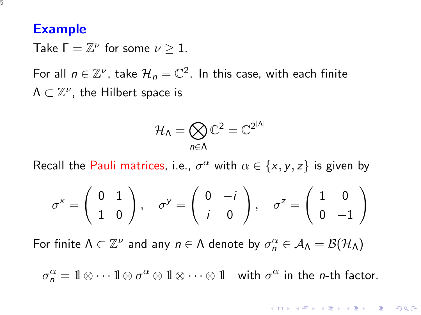#### Example

5

Take  $\Gamma = \mathbb{Z}^{\nu}$  for some  $\nu \geq 1$ .

For all  $n \in \mathbb{Z}^{\nu}$ , take  $\mathcal{H}_{n} = \mathbb{C}^{2}$ . In this case, with each finite  $\Lambda\subset \mathbb{Z}^\nu$ , the Hilbert space is

$$
\mathcal{H}_{\Lambda}=\bigotimes_{n\in\Lambda}\mathbb{C}^2=\mathbb{C}^{2^{|\Lambda|}}
$$

Recall the Pauli matrices, i.e.,  $\sigma^{\alpha}$  with  $\alpha \in \{x, y, z\}$  is given by

$$
\sigma^x = \begin{pmatrix} 0 & 1 \\ 1 & 0 \end{pmatrix}, \quad \sigma^y = \begin{pmatrix} 0 & -i \\ i & 0 \end{pmatrix}, \quad \sigma^z = \begin{pmatrix} 1 & 0 \\ 0 & -1 \end{pmatrix}
$$

For finite  $\Lambda\subset \mathbb{Z}^\nu$  and any  $n\in \Lambda$  denote by  $\sigma_n^\alpha\in \mathcal{A}_\Lambda=\mathcal{B}(\mathcal{H}_\Lambda)$ 

 $\sigma_n^{\alpha} = 1\!\!1 \otimes \cdots 1\!\!1 \otimes \sigma^{\alpha} \otimes 1\!\!1 \otimes \cdots \otimes 1\!\!1$  with  $\sigma^{\alpha}$  in the *n*-th factor.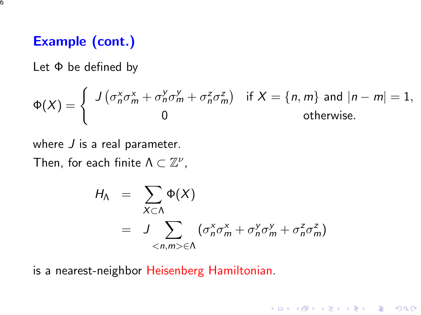# Example (cont.)

Let Φ be defined by

$$
\Phi(X) = \begin{cases} J(\sigma_n^x \sigma_m^x + \sigma_n^y \sigma_m^y + \sigma_n^z \sigma_m^z) & \text{if } X = \{n, m\} \text{ and } |n - m| = 1, \\ 0 & \text{otherwise.} \end{cases}
$$

where  $J$  is a real parameter.

Then, for each finite  $\Lambda \subset \mathbb{Z}^{\nu}$ ,

$$
H_{\Lambda} = \sum_{X \subset \Lambda} \Phi(X)
$$
  
= 
$$
J \sum_{\langle n,m \rangle \in \Lambda} (\sigma_n^x \sigma_m^x + \sigma_n^y \sigma_m^y + \sigma_n^z \sigma_m^z)
$$

**K ロ ▶ K @ ▶ K 할 X X 할 X → 할 X → 9 Q Q ^** 

is a nearest-neighbor Heisenberg Hamiltonian.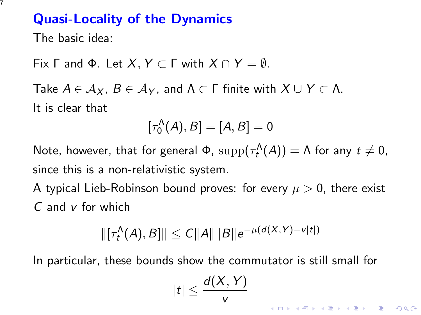The basic idea:

Fix Γ and Φ. Let  $X, Y \subset \Gamma$  with  $X \cap Y = \emptyset$ .

Take  $A \in A_X$ ,  $B \in A_Y$ , and  $\Lambda \subset \Gamma$  finite with  $X \cup Y \subset \Lambda$ . It is clear that

$$
[\tau_0^{\Lambda}(A), B] = [A, B] = 0
$$

Note, however, that for general  $\Phi$ ,  $\mathrm{supp}(\tau_t^{\Lambda}(A)) = \Lambda$  for any  $t \neq 0$ , since this is a non-relativistic system.

A typical Lieb-Robinson bound proves: for every  $\mu > 0$ , there exist C and v for which

$$
\|[\tau_t^{\Lambda}(A),B]\| \le C \|A\| \|B\| e^{-\mu(d(X,Y)-v|t|)}
$$

In particular, these bounds show the commutator is still small for

$$
|t|\leq \frac{d(X,Y)}{v}
$$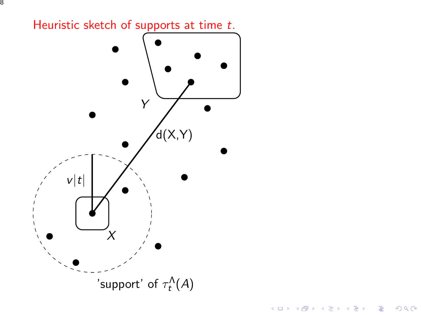

## 8

K ロメ K 御 X K 君 X K 君 X

È

 $299$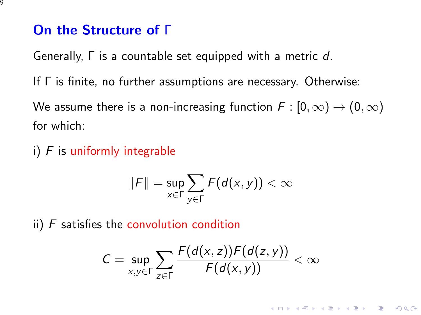## On the Structure of Γ

Generally, Γ is a countable set equipped with a metric d.

If Γ is finite, no further assumptions are necessary. Otherwise:

We assume there is a non-increasing function  $F : [0, \infty) \to (0, \infty)$ for which:

i)  $F$  is uniformly integrable

$$
||F|| = \sup_{x \in \Gamma} \sum_{y \in \Gamma} F(d(x, y)) < \infty
$$

ii)  $F$  satisfies the convolution condition

$$
C = \sup_{x,y \in \Gamma} \sum_{z \in \Gamma} \frac{F(d(x,z))F(d(z,y))}{F(d(x,y))} < \infty
$$

**K ロ ▶ K @ ▶ K 할 X X 할 X → 할 X → 9 Q Q ^**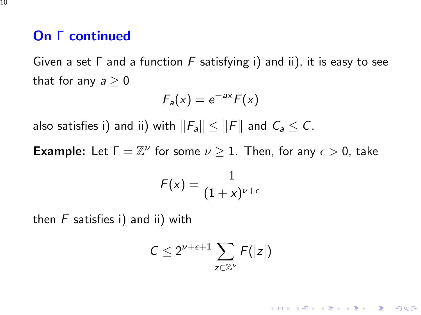## On Γ continued

Given a set  $\Gamma$  and a function  $F$  satisfying i) and ii), it is easy to see that for any  $a \geq 0$ 

$$
F_a(x) = e^{-ax} F(x)
$$

also satisfies i) and ii) with  $||F_a|| \le ||F||$  and  $C_a \le C$ .

**Example:** Let  $\Gamma = \mathbb{Z}^{\nu}$  for some  $\nu \geq 1$ . Then, for any  $\epsilon > 0$ , take

$$
\mathcal{F}(\mathsf{x}) = \frac{1}{(1+\mathsf{x})^{\nu+\epsilon}}
$$

then  $F$  satisfies i) and ii) with

$$
C\leq 2^{\nu+\epsilon+1}\sum_{z\in\mathbb{Z}^\nu}F(|z|)
$$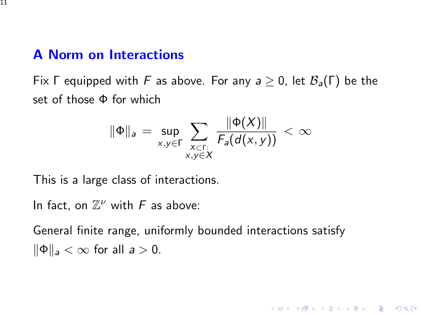# A Norm on Interactions

Fix Γ equipped with F as above. For any  $a \ge 0$ , let  $\mathcal{B}_a(\Gamma)$  be the set of those  $\Phi$  for which

$$
\|\Phi\|_a = \sup_{x,y \in \Gamma} \sum_{\substack{x \in \Gamma: \\ x,y \in X}} \frac{\|\Phi(X)\|}{F_a(d(x,y))} < \infty
$$

This is a large class of interactions.

In fact, on  $\mathbb{Z}^{\nu}$  with F as above:

General finite range, uniformly bounded interactions satisfy  $\|\Phi\|_a < \infty$  for all  $a > 0$ .

K ロ ▶ K @ ▶ K 할 > K 할 > 1 할 > 1 이익어

11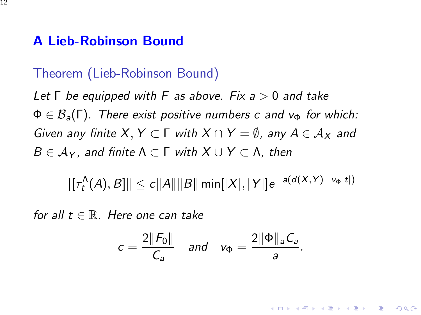## A Lieb-Robinson Bound

12

## Theorem (Lieb-Robinson Bound)

Let  $\Gamma$  be equipped with F as above. Fix a  $> 0$  and take  $\Phi \in \mathcal{B}_{a}(\Gamma)$ . There exist positive numbers c and  $v_{\Phi}$  for which: Given any finite X,  $Y \subset \Gamma$  with  $X \cap Y = \emptyset$ , any  $A \in \mathcal{A}_X$  and  $B \in A_Y$ , and finite  $\Lambda \subset \Gamma$  with  $X \cup Y \subset \Lambda$ , then

 $\| [\tau_t^{\Lambda} (A), B] \| \le c \|A\| \|B\| \min[|X|, |Y|] e^{-a(d(X,Y) - \nu_{\Phi}|t|)}$ 

for all  $t \in \mathbb{R}$ . Here one can take

$$
c = \frac{2||F_0||}{C_a}
$$
 and  $v_{\Phi} = \frac{2||\Phi||_a C_a}{a}$ .

**K ロ ▶ K @ ▶ K 할 X X 할 X → 할 X → 9 Q Q ^**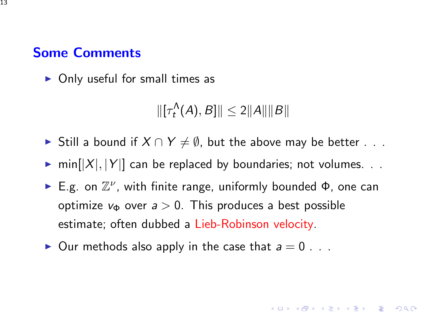## Some Comments

13

 $\triangleright$  Only useful for small times as

 $\|[\tau_t^{\Lambda}(A), B] \| \leq 2 \|A\| \|B\|$ 

- ► Still a bound if  $X \cap Y \neq \emptyset$ , but the above may be better . . .
- $\triangleright$  min $[|X|, |Y|]$  can be replaced by boundaries; not volumes. ..
- E.g. on  $\mathbb{Z}^{\nu}$ , with finite range, uniformly bounded  $\Phi$ , one can optimize  $v_{\Phi}$  over  $a > 0$ . This produces a best possible estimate; often dubbed a Lieb-Robinson velocity.

KID KA KERKER KID KO

 $\triangleright$  Our methods also apply in the case that  $a = 0$ ...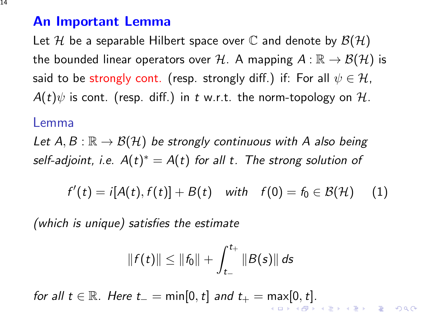#### An Important Lemma

Let H be a separable Hilbert space over C and denote by  $\mathcal{B}(\mathcal{H})$ the bounded linear operators over H. A mapping  $A : \mathbb{R} \to \mathcal{B}(\mathcal{H})$  is said to be strongly cont. (resp. strongly diff.) if: For all  $\psi \in \mathcal{H}$ ,  $A(t)\psi$  is cont. (resp. diff.) in t w.r.t. the norm-topology on H.

#### Lemma

Let  $A, B : \mathbb{R} \to \mathcal{B}(\mathcal{H})$  be strongly continuous with A also being self-adjoint, i.e.  $A(t)^* = A(t)$  for all t. The strong solution of

<span id="page-13-0"></span>
$$
f'(t) = i[A(t), f(t)] + B(t) \quad \text{with} \quad f(0) = f_0 \in \mathcal{B}(\mathcal{H}) \quad (1)
$$

(which is unique) satisfies the estimate

$$
||f(t)|| \leq ||f_0|| + \int_{t_-}^{t_+} ||B(s)|| ds
$$

for all  $t \in \mathbb{R}$ . Here  $t_-=\min[0,t]$  and  $t_+=\max[0,t]$ .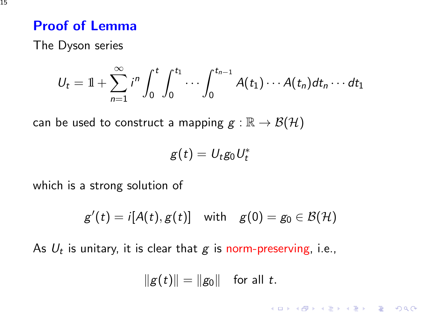## Proof of Lemma

The Dyson series

$$
U_t = 1 + \sum_{n=1}^{\infty} i^n \int_0^t \int_0^{t_1} \cdots \int_0^{t_{n-1}} A(t_1) \cdots A(t_n) dt_n \cdots dt_1
$$

can be used to construct a mapping  $g : \mathbb{R} \to \mathcal{B}(\mathcal{H})$ 

$$
g(t) = U_t g_0 U_t^*
$$

which is a strong solution of

$$
g'(t) = i[A(t), g(t)] \quad \text{with} \quad g(0) = g_0 \in \mathcal{B}(\mathcal{H})
$$

As  $U_t$  is unitary, it is clear that  $\boldsymbol{g}$  is norm-preserving, i.e.,

$$
||g(t)|| = ||g_0||
$$
 for all t.

K ロ ▶ K @ ▶ K 할 > K 할 > 1 할 > 1 이익어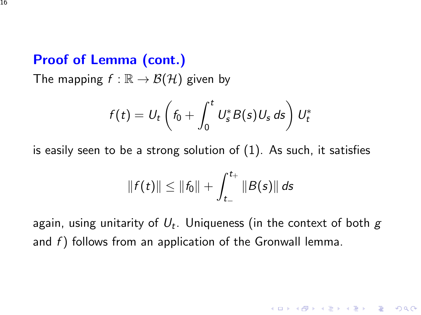## Proof of Lemma (cont.)

The mapping  $f : \mathbb{R} \to \mathcal{B}(\mathcal{H})$  given by

$$
f(t) = U_t \left(f_0 + \int_0^t U_s^* B(s) U_s ds\right) U_t^*
$$

is easily seen to be a strong solution of [\(1\)](#page-13-0). As such, it satisfies

$$
||f(t)|| \leq ||f_0|| + \int_{t_-}^{t_+} ||B(s)|| ds
$$

<span id="page-15-0"></span>again, using unitarity of  $U_t$ . Uniqueness (in the context of both  $\bm{\mathcal{g}}$ and  $f$ ) follows from an application of the Gronwall lemma.

**K ロ ▶ K @ ▶ K 할 X X 할 X → 할 X → 9 Q Q ^**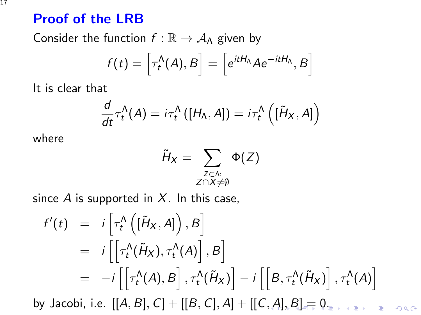## Proof of the LRB

Consider the function  $f : \mathbb{R} \to A_{\Lambda}$  given by

$$
f(t) = \left[\tau_t^{\Lambda}(A), B\right] = \left[e^{itH_{\Lambda}}Ae^{-itH_{\Lambda}}, B\right]
$$

It is clear that

$$
\frac{d}{dt}\tau_t^{\Lambda}(A) = i\tau_t^{\Lambda}([H_{\Lambda}, A]) = i\tau_t^{\Lambda}([H_X, A])
$$

where

$$
\tilde{H}_X = \sum_{\substack{Z \subset \Lambda: \\ Z \cap X \neq \emptyset}} \Phi(Z)
$$

since  $A$  is supported in  $X$ . In this case,

<span id="page-16-0"></span>
$$
f'(t) = i \left[ \tau_t^{\Lambda} \left( [\tilde{H}_X, A] \right), B \right]
$$
  
\n
$$
= i \left[ \left[ \tau_t^{\Lambda} (\tilde{H}_X), \tau_t^{\Lambda}(A) \right], B \right]
$$
  
\n
$$
= -i \left[ \left[ \tau_t^{\Lambda}(A), B \right], \tau_t^{\Lambda}(\tilde{H}_X) \right] - i \left[ \left[ B, \tau_t^{\Lambda}(\tilde{H}_X) \right], \tau_t^{\Lambda}(A) \right]
$$
  
\nby Jacobi, i.e. [[A, B], C] + [[B, C], A] + [[C, A], B] = 0.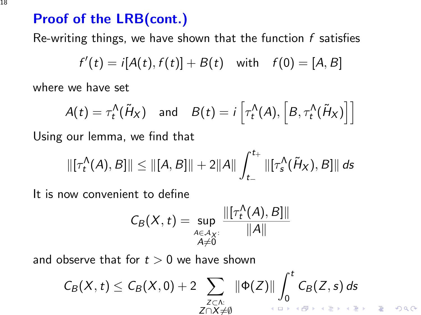## Proof of the LRB(cont.)

Re-writing things, we have shown that the function  $f$  satisfies

$$
f'(t) = i[A(t), f(t)] + B(t)
$$
 with  $f(0) = [A, B]$ 

where we have set

$$
A(t) = \tau_t^{\Lambda}(\tilde{H}_X) \quad \text{and} \quad B(t) = i\left[\tau_t^{\Lambda}(A), \left[B, \tau_t^{\Lambda}(\tilde{H}_X)\right]\right]
$$

Using our lemma, we find that

$$
\|[\tau_t^{\Lambda}(A), B]\| \leq \|[A, B]\| + 2\|A\| \int_{t_-}^{t_+} \|[\tau_s^{\Lambda}(\tilde{H}_X), B]\| ds
$$

It is now convenient to define

$$
C_B(X,t)=\sup_{\substack{A\in\mathcal{A}_X:\\A\neq 0}}\frac{\|[\tau_t^{\Lambda}(A),B]\|}{\|A\|}
$$

<span id="page-17-0"></span>and observe that for  $t > 0$  we have shown

$$
C_B(X,t) \leq C_B(X,0) + 2 \sum_{\substack{Z \subset \Lambda: \\ Z \cap X \neq \emptyset}} \|\Phi(Z)\| \int_0^t C_B(Z,s) \, ds
$$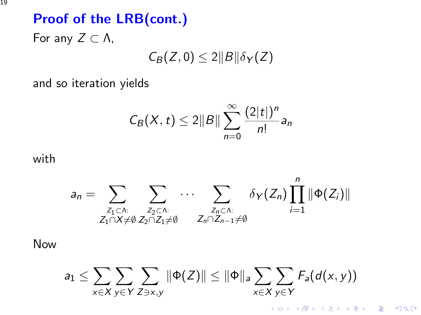# Proof of the LRB(cont.) For any  $Z \subset \Lambda$ ,

 $C_B(Z, 0) \leq 2||B||\delta_Y(Z)$ 

and so iteration yields

$$
C_B(X,t)\leq 2\|B\|\sum_{n=0}^{\infty}\frac{(2|t|)^n}{n!}a_n
$$

with

$$
a_n = \sum_{\substack{Z_1 \subset \Lambda: \\ Z_1 \cap X \neq \emptyset}} \sum_{\substack{Z_2 \subset \Lambda: \\ Z_2 \cap Z_1 \neq \emptyset}} \cdots \sum_{\substack{Z_n \subset \Lambda: \\ Z_n \cap Z_{n-1} \neq \emptyset}} \delta_Y(Z_n) \prod_{i=1}^n \|\Phi(Z_i)\|
$$

Now

$$
a_1 \leq \sum_{x \in X} \sum_{y \in Y} \sum_{Z \ni x,y} \|\Phi(Z)\| \leq \|\Phi\|_a \sum_{x \in X} \sum_{y \in Y} F_a(d(x,y))
$$

K ロ ▶ K @ ▶ K 할 ▶ K 할 ▶ | 할 | © 9 Q @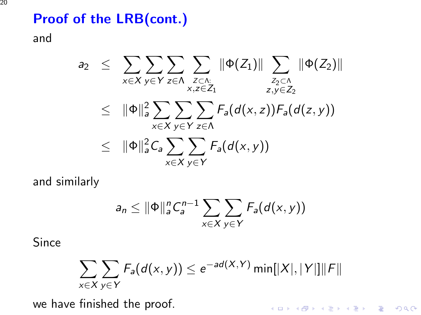# Proof of the LRB(cont.)

and

$$
a_2 \leq \sum_{x \in X} \sum_{y \in Y} \sum_{z \in \Lambda} \sum_{\substack{Z \subset \Lambda: \ z_2 \subset \Lambda \ z_1 \subset Z_2}} \|\Phi(Z_1)\| \sum_{\substack{Z_2 \subset \Lambda \ z, y \in Z_2}} \|\Phi(Z_2)\|
$$
  

$$
\leq \|\Phi\|_a^2 \sum_{x \in X} \sum_{y \in Y} \sum_{z \in \Lambda} F_a(d(x, z)) F_a(d(z, y))
$$
  

$$
\leq \|\Phi\|_a^2 C_a \sum_{x \in X} \sum_{y \in Y} F_a(d(x, y))
$$

and similarly

$$
a_n \leq \|\Phi\|_a^n C_a^{n-1} \sum_{x \in X} \sum_{y \in Y} F_a(d(x, y))
$$

Since

$$
\sum_{x \in X} \sum_{y \in Y} F_a(d(x, y)) \le e^{-ad(X, Y)} \min[|X|, |Y|] ||F||
$$

K ロ ▶ K @ ▶ K 할 ▶ K 할 ▶ | 할 | ⊙Q @

we have finished the proof.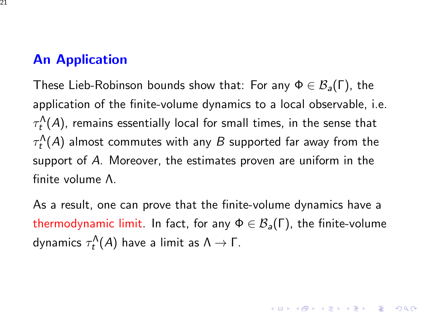## An Application

These Lieb-Robinson bounds show that: For any  $\Phi \in \mathcal{B}_a(\Gamma)$ , the application of the finite-volume dynamics to a local observable, i.e.  $\tau^{\Lambda}_t(A)$ , remains essentially local for small times, in the sense that  $\tau^{\Lambda}_t(A)$  almost commutes with any  $B$  supported far away from the support of A. Moreover, the estimates proven are uniform in the finite volume Λ.

<span id="page-20-0"></span>As a result, one can prove that the finite-volume dynamics have a thermodynamic limit. In fact, for any  $\Phi \in \mathcal{B}_{a}(\Gamma)$ , the finite-volume dynamics  $\tau^\Lambda_t(A)$  have a limit as  $\Lambda\to\mathsf{\Gamma}.$ 

KID KA KERKER E VOOR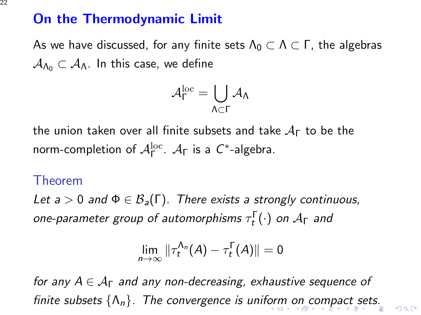## On the Thermodynamic Limit

As we have discussed, for any finite sets  $\Lambda_0 \subset \Lambda \subset \Gamma$ , the algebras  $A_{\Lambda_0} \subset A_{\Lambda}$ . In this case, we define

$$
\mathcal{A}_{\Gamma}^{\rm loc} = \bigcup_{\Lambda \subset \Gamma} \mathcal{A}_{\Lambda}
$$

the union taken over all finite subsets and take  $A_{\Gamma}$  to be the norm-completion of  $\mathcal{A}_{\Gamma}^{\text{loc}}$ .  $\mathcal{A}_{\Gamma}$  is a  $C^*$ -algebra.

#### Theorem

Let  $a > 0$  and  $\Phi \in \mathcal{B}_a(\Gamma)$ . There exists a strongly continuous, one-parameter group of automorphisms  $\tau^{\Gamma}_t(\cdot)$  on  $\mathcal{A}_{\Gamma}$  and

$$
\lim_{n\to\infty}\|\tau_t^{\Lambda_n}(A)-\tau_t^\Gamma(A)\|=0
$$

<span id="page-21-0"></span>for any  $A \in \mathcal{A}_{\Gamma}$  and any non-decreasing, exhaustive sequence of finite subsets  $\{\Lambda_n\}$  $\{\Lambda_n\}$  $\{\Lambda_n\}$ . The convergence is unif[or](#page-20-0)[m](#page-22-0) [o](#page-22-0)[n c](#page-21-0)om[pa](#page-23-0)[ct](#page-0-0) [se](#page-23-0)[ts.](#page-0-0)

 $ORO$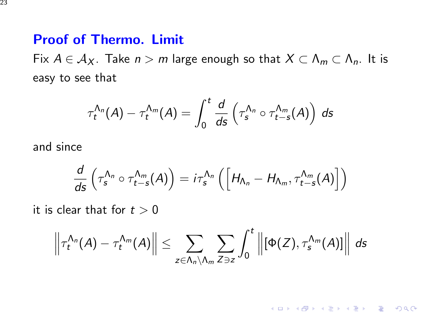#### Proof of Thermo. Limit

Fix  $A \in A_X$ . Take  $n > m$  large enough so that  $X \subset \Lambda_m \subset \Lambda_n$ . It is easy to see that

$$
\tau_t^{\Lambda_n}(A)-\tau_t^{\Lambda_m}(A)=\int_0^t\frac{d}{ds}\left(\tau_s^{\Lambda_n}\circ\tau_{t-s}^{\Lambda_m}(A)\right)\,ds
$$

and since

$$
\frac{d}{ds}\left(\tau_s^{\Lambda_n}\circ\tau_{t-s}^{\Lambda_m}(A)\right)=i\tau_s^{\Lambda_n}\left(\left[H_{\Lambda_n}-H_{\Lambda_m},\tau_{t-s}^{\Lambda_m}(A)\right]\right)
$$

it is clear that for  $t > 0$ 

<span id="page-22-0"></span>
$$
\left\|\tau_t^{\Lambda_n}(A)-\tau_t^{\Lambda_m}(A)\right\|\leq \sum_{z\in\Lambda_n\setminus\Lambda_m}\sum_{Z\ni z}\int_0^t\left\|[\Phi(Z),\tau_s^{\Lambda_m}(A)]\right\|\,ds
$$

K ロ ▶ K @ ▶ K 할 ▶ K 할 ▶ | 할 | © 9 Q @